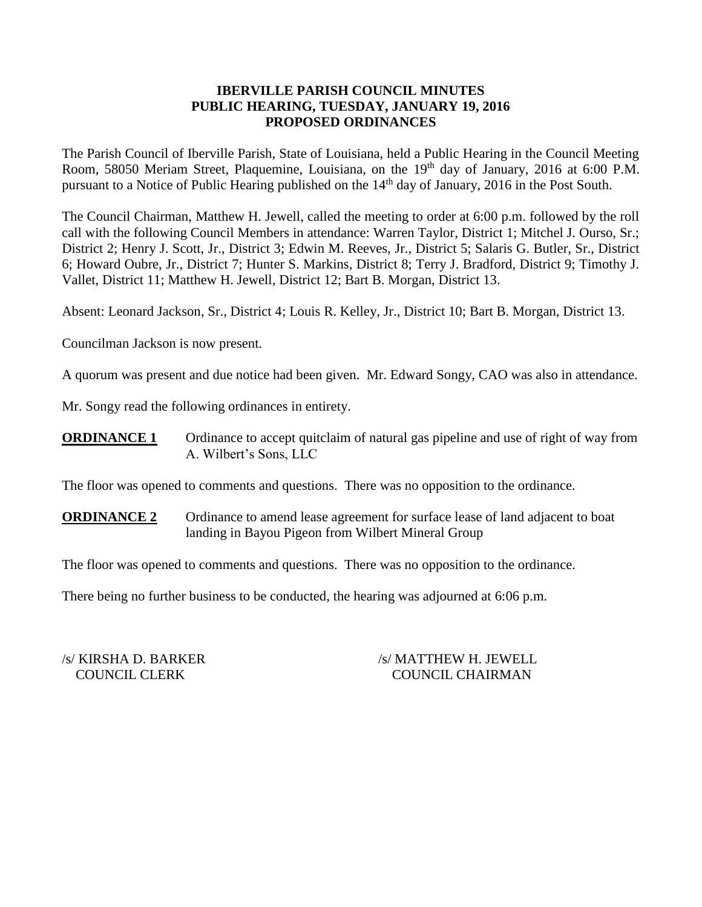## **IBERVILLE PARISH COUNCIL MINUTES PUBLIC HEARING, TUESDAY, JANUARY 19, 2016 PROPOSED ORDINANCES**

The Parish Council of Iberville Parish, State of Louisiana, held a Public Hearing in the Council Meeting Room, 58050 Meriam Street, Plaquemine, Louisiana, on the 19<sup>th</sup> day of January, 2016 at 6:00 P.M. pursuant to a Notice of Public Hearing published on the 14<sup>th</sup> day of January, 2016 in the Post South.

The Council Chairman, Matthew H. Jewell, called the meeting to order at 6:00 p.m. followed by the roll call with the following Council Members in attendance: Warren Taylor, District 1; Mitchel J. Ourso, Sr.; District 2; Henry J. Scott, Jr., District 3; Edwin M. Reeves, Jr., District 5; Salaris G. Butler, Sr., District 6; Howard Oubre, Jr., District 7; Hunter S. Markins, District 8; Terry J. Bradford, District 9; Timothy J. Vallet, District 11; Matthew H. Jewell, District 12; Bart B. Morgan, District 13.

Absent: Leonard Jackson, Sr., District 4; Louis R. Kelley, Jr., District 10; Bart B. Morgan, District 13.

Councilman Jackson is now present.

A quorum was present and due notice had been given. Mr. Edward Songy, CAO was also in attendance.

Mr. Songy read the following ordinances in entirety.

**ORDINANCE 1** Ordinance to accept quitclaim of natural gas pipeline and use of right of way from A. Wilbert's Sons, LLC

The floor was opened to comments and questions. There was no opposition to the ordinance.

**ORDINANCE 2** Ordinance to amend lease agreement for surface lease of land adjacent to boat landing in Bayou Pigeon from Wilbert Mineral Group

The floor was opened to comments and questions. There was no opposition to the ordinance.

There being no further business to be conducted, the hearing was adjourned at 6:06 p.m.

/s/ KIRSHA D. BARKER /s/ MATTHEW H. JEWELL COUNCIL CLERK COUNCIL CHAIRMAN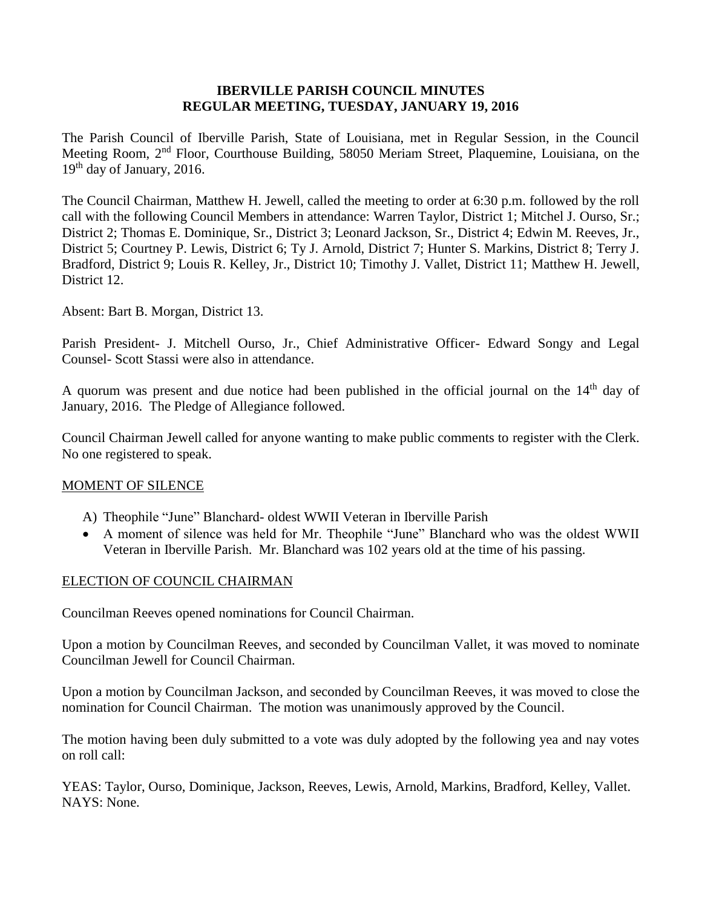### **IBERVILLE PARISH COUNCIL MINUTES REGULAR MEETING, TUESDAY, JANUARY 19, 2016**

The Parish Council of Iberville Parish, State of Louisiana, met in Regular Session, in the Council Meeting Room, 2nd Floor, Courthouse Building, 58050 Meriam Street, Plaquemine, Louisiana, on the  $19<sup>th</sup>$  day of January, 2016.

The Council Chairman, Matthew H. Jewell, called the meeting to order at 6:30 p.m. followed by the roll call with the following Council Members in attendance: Warren Taylor, District 1; Mitchel J. Ourso, Sr.; District 2; Thomas E. Dominique, Sr., District 3; Leonard Jackson, Sr., District 4; Edwin M. Reeves, Jr., District 5; Courtney P. Lewis, District 6; Ty J. Arnold, District 7; Hunter S. Markins, District 8; Terry J. Bradford, District 9; Louis R. Kelley, Jr., District 10; Timothy J. Vallet, District 11; Matthew H. Jewell, District 12.

Absent: Bart B. Morgan, District 13.

Parish President- J. Mitchell Ourso, Jr., Chief Administrative Officer- Edward Songy and Legal Counsel- Scott Stassi were also in attendance.

A quorum was present and due notice had been published in the official journal on the  $14<sup>th</sup>$  day of January, 2016. The Pledge of Allegiance followed.

Council Chairman Jewell called for anyone wanting to make public comments to register with the Clerk. No one registered to speak.

### MOMENT OF SILENCE

- A) Theophile "June" Blanchard- oldest WWII Veteran in Iberville Parish
- A moment of silence was held for Mr. Theophile "June" Blanchard who was the oldest WWII Veteran in Iberville Parish. Mr. Blanchard was 102 years old at the time of his passing.

### ELECTION OF COUNCIL CHAIRMAN

Councilman Reeves opened nominations for Council Chairman.

Upon a motion by Councilman Reeves, and seconded by Councilman Vallet, it was moved to nominate Councilman Jewell for Council Chairman.

Upon a motion by Councilman Jackson, and seconded by Councilman Reeves, it was moved to close the nomination for Council Chairman. The motion was unanimously approved by the Council.

The motion having been duly submitted to a vote was duly adopted by the following yea and nay votes on roll call:

YEAS: Taylor, Ourso, Dominique, Jackson, Reeves, Lewis, Arnold, Markins, Bradford, Kelley, Vallet. NAYS: None.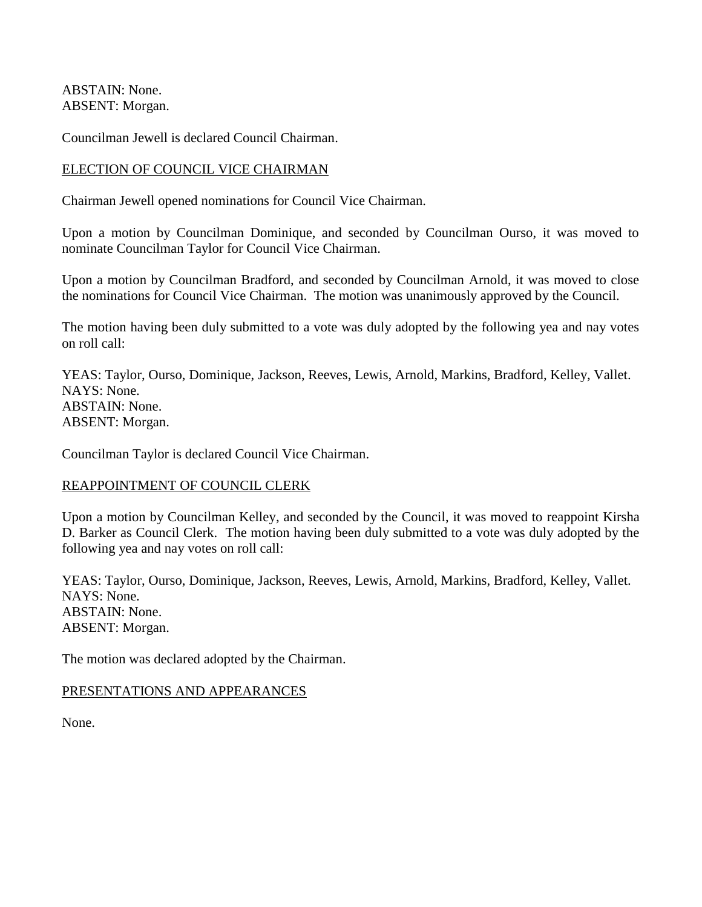ABSTAIN: None. ABSENT: Morgan.

Councilman Jewell is declared Council Chairman.

## ELECTION OF COUNCIL VICE CHAIRMAN

Chairman Jewell opened nominations for Council Vice Chairman.

Upon a motion by Councilman Dominique, and seconded by Councilman Ourso, it was moved to nominate Councilman Taylor for Council Vice Chairman.

Upon a motion by Councilman Bradford, and seconded by Councilman Arnold, it was moved to close the nominations for Council Vice Chairman. The motion was unanimously approved by the Council.

The motion having been duly submitted to a vote was duly adopted by the following yea and nay votes on roll call:

YEAS: Taylor, Ourso, Dominique, Jackson, Reeves, Lewis, Arnold, Markins, Bradford, Kelley, Vallet. NAYS: None. ABSTAIN: None. ABSENT: Morgan.

Councilman Taylor is declared Council Vice Chairman.

# REAPPOINTMENT OF COUNCIL CLERK

Upon a motion by Councilman Kelley, and seconded by the Council, it was moved to reappoint Kirsha D. Barker as Council Clerk. The motion having been duly submitted to a vote was duly adopted by the following yea and nay votes on roll call:

YEAS: Taylor, Ourso, Dominique, Jackson, Reeves, Lewis, Arnold, Markins, Bradford, Kelley, Vallet. NAYS: None. ABSTAIN: None. ABSENT: Morgan.

The motion was declared adopted by the Chairman.

### PRESENTATIONS AND APPEARANCES

None.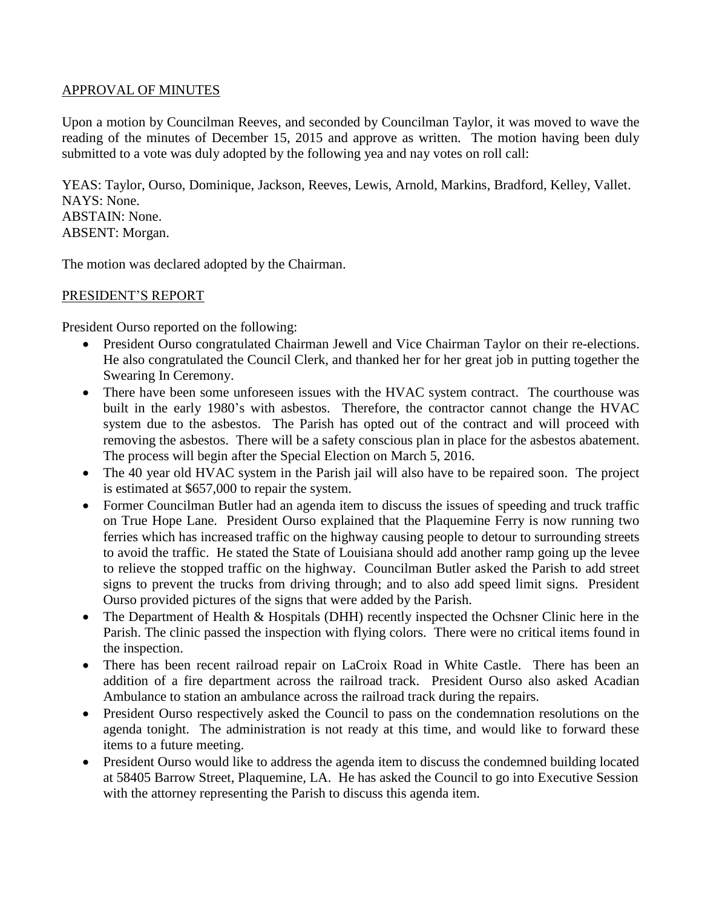## APPROVAL OF MINUTES

Upon a motion by Councilman Reeves, and seconded by Councilman Taylor, it was moved to wave the reading of the minutes of December 15, 2015 and approve as written. The motion having been duly submitted to a vote was duly adopted by the following yea and nay votes on roll call:

YEAS: Taylor, Ourso, Dominique, Jackson, Reeves, Lewis, Arnold, Markins, Bradford, Kelley, Vallet. NAYS: None. ABSTAIN: None. ABSENT: Morgan.

The motion was declared adopted by the Chairman.

## PRESIDENT'S REPORT

President Ourso reported on the following:

- President Ourso congratulated Chairman Jewell and Vice Chairman Taylor on their re-elections. He also congratulated the Council Clerk, and thanked her for her great job in putting together the Swearing In Ceremony.
- There have been some unforeseen issues with the HVAC system contract. The courthouse was built in the early 1980's with asbestos. Therefore, the contractor cannot change the HVAC system due to the asbestos. The Parish has opted out of the contract and will proceed with removing the asbestos. There will be a safety conscious plan in place for the asbestos abatement. The process will begin after the Special Election on March 5, 2016.
- The 40 year old HVAC system in the Parish jail will also have to be repaired soon. The project is estimated at \$657,000 to repair the system.
- Former Councilman Butler had an agenda item to discuss the issues of speeding and truck traffic on True Hope Lane. President Ourso explained that the Plaquemine Ferry is now running two ferries which has increased traffic on the highway causing people to detour to surrounding streets to avoid the traffic. He stated the State of Louisiana should add another ramp going up the levee to relieve the stopped traffic on the highway. Councilman Butler asked the Parish to add street signs to prevent the trucks from driving through; and to also add speed limit signs. President Ourso provided pictures of the signs that were added by the Parish.
- The Department of Health & Hospitals (DHH) recently inspected the Ochsner Clinic here in the Parish. The clinic passed the inspection with flying colors. There were no critical items found in the inspection.
- There has been recent railroad repair on LaCroix Road in White Castle. There has been an addition of a fire department across the railroad track. President Ourso also asked Acadian Ambulance to station an ambulance across the railroad track during the repairs.
- President Ourso respectively asked the Council to pass on the condemnation resolutions on the agenda tonight. The administration is not ready at this time, and would like to forward these items to a future meeting.
- President Ourso would like to address the agenda item to discuss the condemned building located at 58405 Barrow Street, Plaquemine, LA. He has asked the Council to go into Executive Session with the attorney representing the Parish to discuss this agenda item.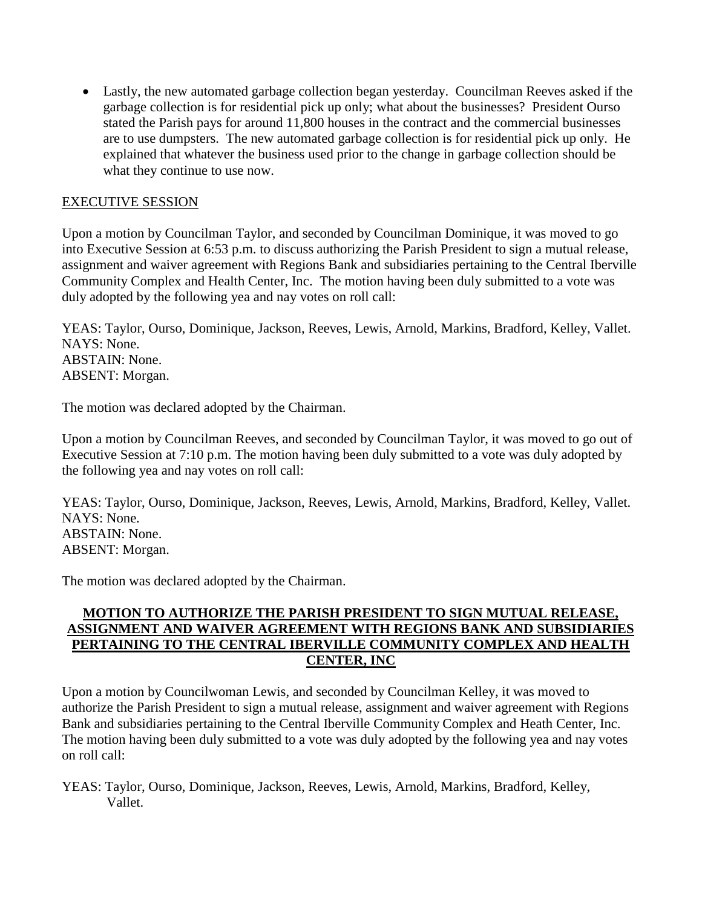Lastly, the new automated garbage collection began yesterday. Councilman Reeves asked if the garbage collection is for residential pick up only; what about the businesses? President Ourso stated the Parish pays for around 11,800 houses in the contract and the commercial businesses are to use dumpsters. The new automated garbage collection is for residential pick up only. He explained that whatever the business used prior to the change in garbage collection should be what they continue to use now.

# EXECUTIVE SESSION

Upon a motion by Councilman Taylor, and seconded by Councilman Dominique, it was moved to go into Executive Session at 6:53 p.m. to discuss authorizing the Parish President to sign a mutual release, assignment and waiver agreement with Regions Bank and subsidiaries pertaining to the Central Iberville Community Complex and Health Center, Inc. The motion having been duly submitted to a vote was duly adopted by the following yea and nay votes on roll call:

YEAS: Taylor, Ourso, Dominique, Jackson, Reeves, Lewis, Arnold, Markins, Bradford, Kelley, Vallet. NAYS: None. ABSTAIN: None. ABSENT: Morgan.

The motion was declared adopted by the Chairman.

Upon a motion by Councilman Reeves, and seconded by Councilman Taylor, it was moved to go out of Executive Session at 7:10 p.m. The motion having been duly submitted to a vote was duly adopted by the following yea and nay votes on roll call:

YEAS: Taylor, Ourso, Dominique, Jackson, Reeves, Lewis, Arnold, Markins, Bradford, Kelley, Vallet. NAYS: None. ABSTAIN: None. ABSENT: Morgan.

The motion was declared adopted by the Chairman.

## **MOTION TO AUTHORIZE THE PARISH PRESIDENT TO SIGN MUTUAL RELEASE, ASSIGNMENT AND WAIVER AGREEMENT WITH REGIONS BANK AND SUBSIDIARIES PERTAINING TO THE CENTRAL IBERVILLE COMMUNITY COMPLEX AND HEALTH CENTER, INC**

Upon a motion by Councilwoman Lewis, and seconded by Councilman Kelley, it was moved to authorize the Parish President to sign a mutual release, assignment and waiver agreement with Regions Bank and subsidiaries pertaining to the Central Iberville Community Complex and Heath Center, Inc. The motion having been duly submitted to a vote was duly adopted by the following yea and nay votes on roll call:

YEAS: Taylor, Ourso, Dominique, Jackson, Reeves, Lewis, Arnold, Markins, Bradford, Kelley, Vallet.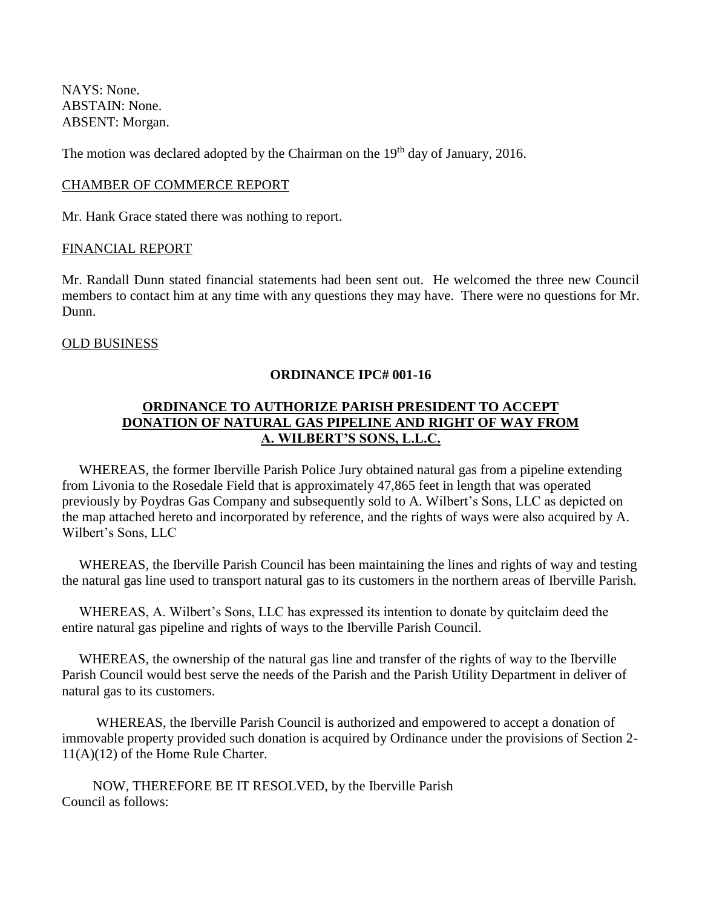NAYS: None. ABSTAIN: None. ABSENT: Morgan.

The motion was declared adopted by the Chairman on the 19<sup>th</sup> day of January, 2016.

### CHAMBER OF COMMERCE REPORT

Mr. Hank Grace stated there was nothing to report.

#### FINANCIAL REPORT

Mr. Randall Dunn stated financial statements had been sent out. He welcomed the three new Council members to contact him at any time with any questions they may have. There were no questions for Mr. Dunn.

### OLD BUSINESS

#### **ORDINANCE IPC# 001-16**

# **ORDINANCE TO AUTHORIZE PARISH PRESIDENT TO ACCEPT DONATION OF NATURAL GAS PIPELINE AND RIGHT OF WAY FROM A. WILBERT'S SONS, L.L.C.**

WHEREAS, the former Iberville Parish Police Jury obtained natural gas from a pipeline extending from Livonia to the Rosedale Field that is approximately 47,865 feet in length that was operated previously by Poydras Gas Company and subsequently sold to A. Wilbert's Sons, LLC as depicted on the map attached hereto and incorporated by reference, and the rights of ways were also acquired by A. Wilbert's Sons, LLC

 WHEREAS, the Iberville Parish Council has been maintaining the lines and rights of way and testing the natural gas line used to transport natural gas to its customers in the northern areas of Iberville Parish.

 WHEREAS, A. Wilbert's Sons, LLC has expressed its intention to donate by quitclaim deed the entire natural gas pipeline and rights of ways to the Iberville Parish Council.

 WHEREAS, the ownership of the natural gas line and transfer of the rights of way to the Iberville Parish Council would best serve the needs of the Parish and the Parish Utility Department in deliver of natural gas to its customers.

 WHEREAS, the Iberville Parish Council is authorized and empowered to accept a donation of immovable property provided such donation is acquired by Ordinance under the provisions of Section 2- 11(A)(12) of the Home Rule Charter.

 NOW, THEREFORE BE IT RESOLVED, by the Iberville Parish Council as follows: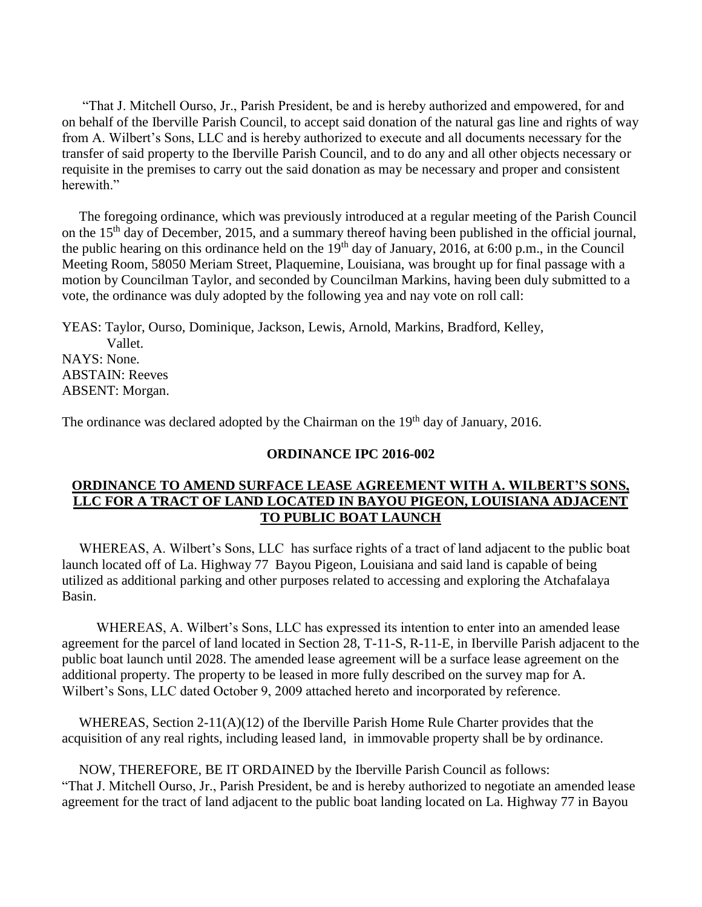"That J. Mitchell Ourso, Jr., Parish President, be and is hereby authorized and empowered, for and on behalf of the Iberville Parish Council, to accept said donation of the natural gas line and rights of way from A. Wilbert's Sons, LLC and is hereby authorized to execute and all documents necessary for the transfer of said property to the Iberville Parish Council, and to do any and all other objects necessary or requisite in the premises to carry out the said donation as may be necessary and proper and consistent herewith"

 The foregoing ordinance, which was previously introduced at a regular meeting of the Parish Council on the 15th day of December, 2015, and a summary thereof having been published in the official journal, the public hearing on this ordinance held on the  $19<sup>th</sup>$  day of January, 2016, at 6:00 p.m., in the Council Meeting Room, 58050 Meriam Street, Plaquemine, Louisiana, was brought up for final passage with a motion by Councilman Taylor, and seconded by Councilman Markins, having been duly submitted to a vote, the ordinance was duly adopted by the following yea and nay vote on roll call:

YEAS: Taylor, Ourso, Dominique, Jackson, Lewis, Arnold, Markins, Bradford, Kelley, Vallet. NAYS: None. ABSTAIN: Reeves ABSENT: Morgan.

The ordinance was declared adopted by the Chairman on the 19<sup>th</sup> day of January, 2016.

#### **ORDINANCE IPC 2016-002**

## **ORDINANCE TO AMEND SURFACE LEASE AGREEMENT WITH A. WILBERT'S SONS, LLC FOR A TRACT OF LAND LOCATED IN BAYOU PIGEON, LOUISIANA ADJACENT TO PUBLIC BOAT LAUNCH**

 WHEREAS, A. Wilbert's Sons, LLC has surface rights of a tract of land adjacent to the public boat launch located off of La. Highway 77 Bayou Pigeon, Louisiana and said land is capable of being utilized as additional parking and other purposes related to accessing and exploring the Atchafalaya Basin.

 WHEREAS, A. Wilbert's Sons, LLC has expressed its intention to enter into an amended lease agreement for the parcel of land located in Section 28, T-11-S, R-11-E, in Iberville Parish adjacent to the public boat launch until 2028. The amended lease agreement will be a surface lease agreement on the additional property. The property to be leased in more fully described on the survey map for A. Wilbert's Sons, LLC dated October 9, 2009 attached hereto and incorporated by reference.

WHEREAS, Section  $2-11(A)(12)$  of the Iberville Parish Home Rule Charter provides that the acquisition of any real rights, including leased land, in immovable property shall be by ordinance.

 NOW, THEREFORE, BE IT ORDAINED by the Iberville Parish Council as follows: "That J. Mitchell Ourso, Jr., Parish President, be and is hereby authorized to negotiate an amended lease agreement for the tract of land adjacent to the public boat landing located on La. Highway 77 in Bayou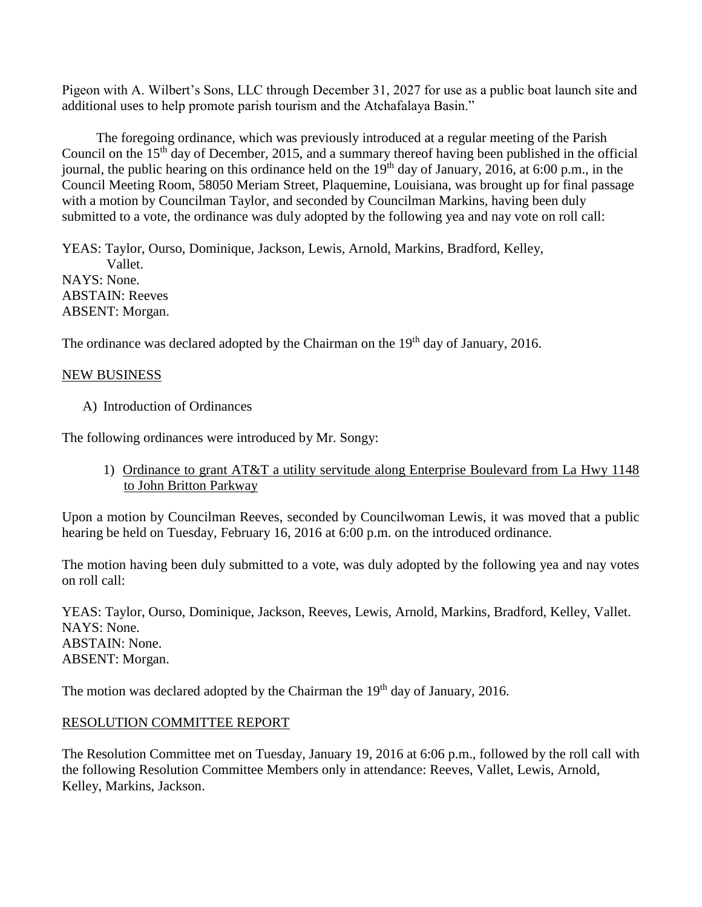Pigeon with A. Wilbert's Sons, LLC through December 31, 2027 for use as a public boat launch site and additional uses to help promote parish tourism and the Atchafalaya Basin."

 The foregoing ordinance, which was previously introduced at a regular meeting of the Parish Council on the 15<sup>th</sup> day of December, 2015, and a summary thereof having been published in the official journal, the public hearing on this ordinance held on the  $19<sup>th</sup>$  day of January, 2016, at 6:00 p.m., in the Council Meeting Room, 58050 Meriam Street, Plaquemine, Louisiana, was brought up for final passage with a motion by Councilman Taylor, and seconded by Councilman Markins, having been duly submitted to a vote, the ordinance was duly adopted by the following yea and nay vote on roll call:

YEAS: Taylor, Ourso, Dominique, Jackson, Lewis, Arnold, Markins, Bradford, Kelley, Vallet. NAYS: None. ABSTAIN: Reeves ABSENT: Morgan.

The ordinance was declared adopted by the Chairman on the 19<sup>th</sup> day of January, 2016.

## NEW BUSINESS

A) Introduction of Ordinances

The following ordinances were introduced by Mr. Songy:

1) Ordinance to grant AT&T a utility servitude along Enterprise Boulevard from La Hwy 1148 to John Britton Parkway

Upon a motion by Councilman Reeves, seconded by Councilwoman Lewis, it was moved that a public hearing be held on Tuesday, February 16, 2016 at 6:00 p.m. on the introduced ordinance.

The motion having been duly submitted to a vote, was duly adopted by the following yea and nay votes on roll call:

YEAS: Taylor, Ourso, Dominique, Jackson, Reeves, Lewis, Arnold, Markins, Bradford, Kelley, Vallet. NAYS: None. ABSTAIN: None. ABSENT: Morgan.

The motion was declared adopted by the Chairman the 19<sup>th</sup> day of January, 2016.

### RESOLUTION COMMITTEE REPORT

The Resolution Committee met on Tuesday, January 19, 2016 at 6:06 p.m., followed by the roll call with the following Resolution Committee Members only in attendance: Reeves, Vallet, Lewis, Arnold, Kelley, Markins, Jackson.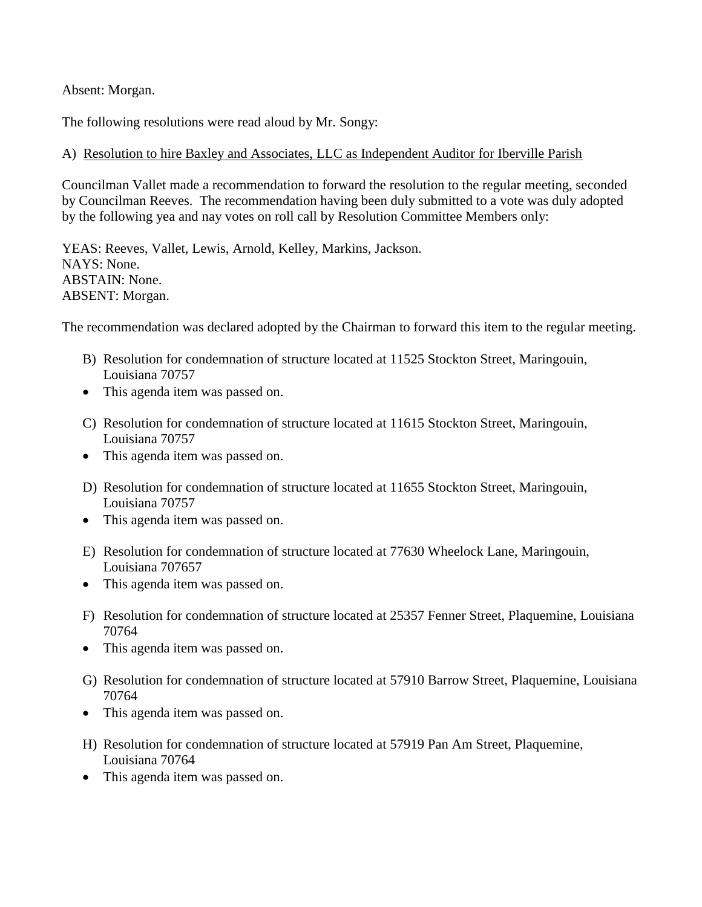Absent: Morgan.

The following resolutions were read aloud by Mr. Songy:

## A) Resolution to hire Baxley and Associates, LLC as Independent Auditor for Iberville Parish

Councilman Vallet made a recommendation to forward the resolution to the regular meeting, seconded by Councilman Reeves. The recommendation having been duly submitted to a vote was duly adopted by the following yea and nay votes on roll call by Resolution Committee Members only:

YEAS: Reeves, Vallet, Lewis, Arnold, Kelley, Markins, Jackson. NAYS: None. ABSTAIN: None. ABSENT: Morgan.

The recommendation was declared adopted by the Chairman to forward this item to the regular meeting.

- B) Resolution for condemnation of structure located at 11525 Stockton Street, Maringouin, Louisiana 70757
- This agenda item was passed on.
- C) Resolution for condemnation of structure located at 11615 Stockton Street, Maringouin, Louisiana 70757
- This agenda item was passed on.
- D) Resolution for condemnation of structure located at 11655 Stockton Street, Maringouin, Louisiana 70757
- This agenda item was passed on.
- E) Resolution for condemnation of structure located at 77630 Wheelock Lane, Maringouin, Louisiana 707657
- This agenda item was passed on.
- F) Resolution for condemnation of structure located at 25357 Fenner Street, Plaquemine, Louisiana 70764
- This agenda item was passed on.
- G) Resolution for condemnation of structure located at 57910 Barrow Street, Plaquemine, Louisiana 70764
- This agenda item was passed on.
- H) Resolution for condemnation of structure located at 57919 Pan Am Street, Plaquemine, Louisiana 70764
- This agenda item was passed on.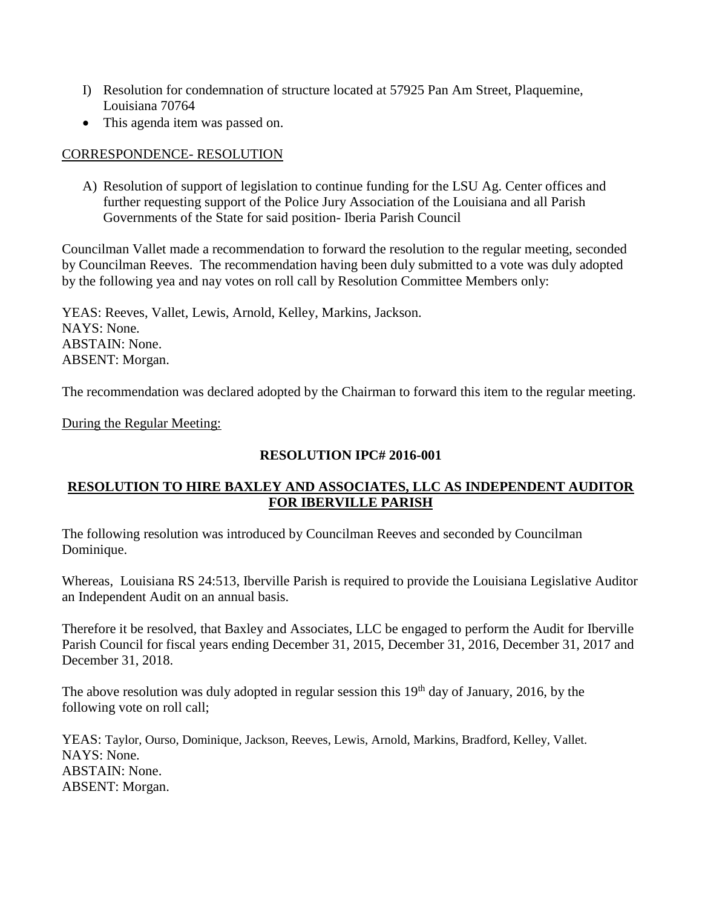- I) Resolution for condemnation of structure located at 57925 Pan Am Street, Plaquemine, Louisiana 70764
- This agenda item was passed on.

## CORRESPONDENCE- RESOLUTION

A) Resolution of support of legislation to continue funding for the LSU Ag. Center offices and further requesting support of the Police Jury Association of the Louisiana and all Parish Governments of the State for said position- Iberia Parish Council

Councilman Vallet made a recommendation to forward the resolution to the regular meeting, seconded by Councilman Reeves. The recommendation having been duly submitted to a vote was duly adopted by the following yea and nay votes on roll call by Resolution Committee Members only:

YEAS: Reeves, Vallet, Lewis, Arnold, Kelley, Markins, Jackson. NAYS: None. ABSTAIN: None. ABSENT: Morgan.

The recommendation was declared adopted by the Chairman to forward this item to the regular meeting.

During the Regular Meeting:

## **RESOLUTION IPC# 2016-001**

## **RESOLUTION TO HIRE BAXLEY AND ASSOCIATES, LLC AS INDEPENDENT AUDITOR FOR IBERVILLE PARISH**

The following resolution was introduced by Councilman Reeves and seconded by Councilman Dominique.

Whereas, Louisiana RS 24:513, Iberville Parish is required to provide the Louisiana Legislative Auditor an Independent Audit on an annual basis.

Therefore it be resolved, that Baxley and Associates, LLC be engaged to perform the Audit for Iberville Parish Council for fiscal years ending December 31, 2015, December 31, 2016, December 31, 2017 and December 31, 2018.

The above resolution was duly adopted in regular session this  $19<sup>th</sup>$  day of January, 2016, by the following vote on roll call;

YEAS: Taylor, Ourso, Dominique, Jackson, Reeves, Lewis, Arnold, Markins, Bradford, Kelley, Vallet. NAYS: None. ABSTAIN: None. ABSENT: Morgan.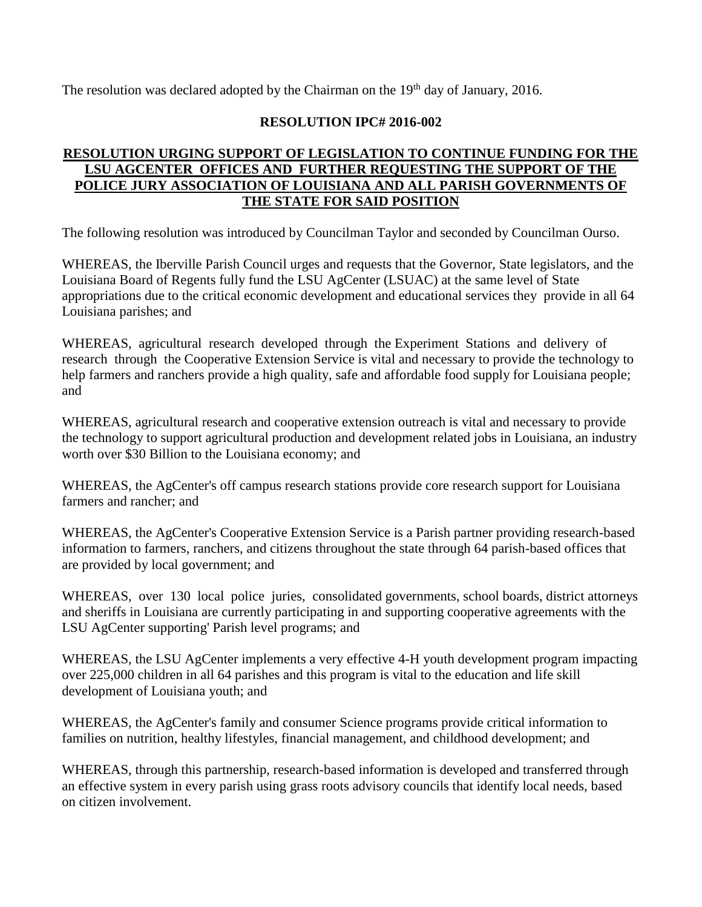The resolution was declared adopted by the Chairman on the  $19<sup>th</sup>$  day of January, 2016.

# **RESOLUTION IPC# 2016-002**

# **RESOLUTION URGING SUPPORT OF LEGISLATION TO CONTINUE FUNDING FOR THE LSU AGCENTER OFFICES AND FURTHER REQUESTING THE SUPPORT OF THE POLICE JURY ASSOCIATION OF LOUISIANA AND ALL PARISH GOVERNMENTS OF THE STATE FOR SAID POSITION**

The following resolution was introduced by Councilman Taylor and seconded by Councilman Ourso.

WHEREAS, the Iberville Parish Council urges and requests that the Governor, State legislators, and the Louisiana Board of Regents fully fund the LSU AgCenter (LSUAC) at the same level of State appropriations due to the critical economic development and educational services they provide in all 64 Louisiana parishes; and

WHEREAS, agricultural research developed through the Experiment Stations and delivery of research through the Cooperative Extension Service is vital and necessary to provide the technology to help farmers and ranchers provide a high quality, safe and affordable food supply for Louisiana people; and

WHEREAS, agricultural research and cooperative extension outreach is vital and necessary to provide the technology to support agricultural production and development related jobs in Louisiana, an industry worth over \$30 Billion to the Louisiana economy; and

WHEREAS, the AgCenter's off campus research stations provide core research support for Louisiana farmers and rancher; and

WHEREAS, the AgCenter's Cooperative Extension Service is a Parish partner providing research-based information to farmers, ranchers, and citizens throughout the state through 64 parish-based offices that are provided by local government; and

WHEREAS, over 130 local police juries, consolidated governments, school boards, district attorneys and sheriffs in Louisiana are currently participating in and supporting cooperative agreements with the LSU AgCenter supporting' Parish level programs; and

WHEREAS, the LSU AgCenter implements a very effective 4-H youth development program impacting over 225,000 children in all 64 parishes and this program is vital to the education and life skill development of Louisiana youth; and

WHEREAS, the AgCenter's family and consumer Science programs provide critical information to families on nutrition, healthy lifestyles, financial management, and childhood development; and

WHEREAS, through this partnership, research-based information is developed and transferred through an effective system in every parish using grass roots advisory councils that identify local needs, based on citizen involvement.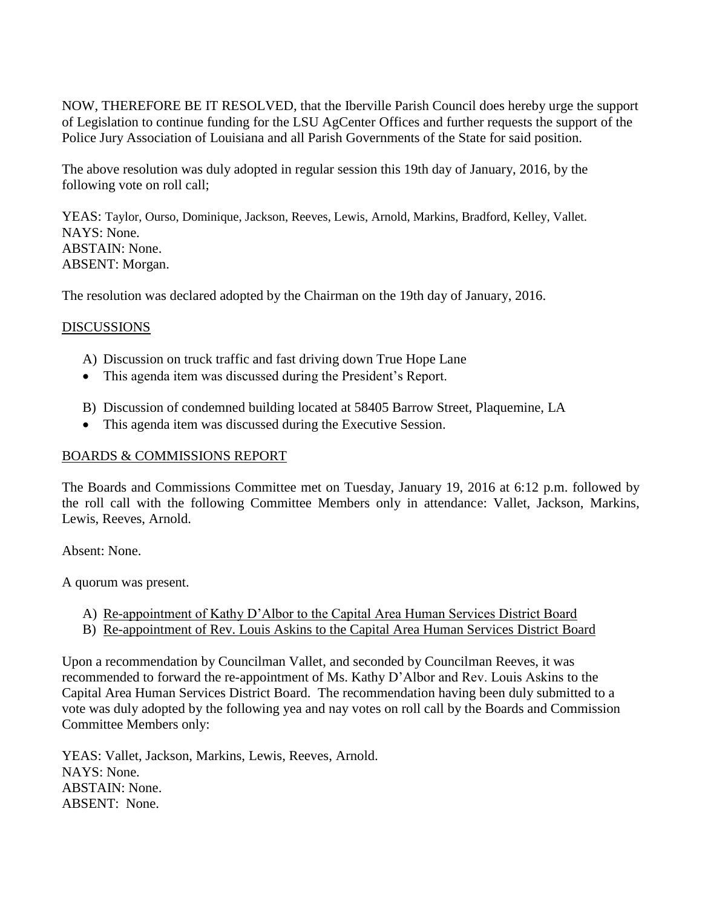NOW, THEREFORE BE IT RESOLVED, that the Iberville Parish Council does hereby urge the support of Legislation to continue funding for the LSU AgCenter Offices and further requests the support of the Police Jury Association of Louisiana and all Parish Governments of the State for said position.

The above resolution was duly adopted in regular session this 19th day of January, 2016, by the following vote on roll call;

YEAS: Taylor, Ourso, Dominique, Jackson, Reeves, Lewis, Arnold, Markins, Bradford, Kelley, Vallet. NAYS: None. ABSTAIN: None. ABSENT: Morgan.

The resolution was declared adopted by the Chairman on the 19th day of January, 2016.

## DISCUSSIONS

- A) Discussion on truck traffic and fast driving down True Hope Lane
- This agenda item was discussed during the President's Report.
- B) Discussion of condemned building located at 58405 Barrow Street, Plaquemine, LA
- This agenda item was discussed during the Executive Session.

### BOARDS & COMMISSIONS REPORT

The Boards and Commissions Committee met on Tuesday, January 19, 2016 at 6:12 p.m. followed by the roll call with the following Committee Members only in attendance: Vallet, Jackson, Markins, Lewis, Reeves, Arnold.

Absent: None.

A quorum was present.

- A) Re-appointment of Kathy D'Albor to the Capital Area Human Services District Board
- B) Re-appointment of Rev. Louis Askins to the Capital Area Human Services District Board

Upon a recommendation by Councilman Vallet, and seconded by Councilman Reeves, it was recommended to forward the re-appointment of Ms. Kathy D'Albor and Rev. Louis Askins to the Capital Area Human Services District Board. The recommendation having been duly submitted to a vote was duly adopted by the following yea and nay votes on roll call by the Boards and Commission Committee Members only:

YEAS: Vallet, Jackson, Markins, Lewis, Reeves, Arnold. NAYS: None. ABSTAIN: None. ABSENT: None.